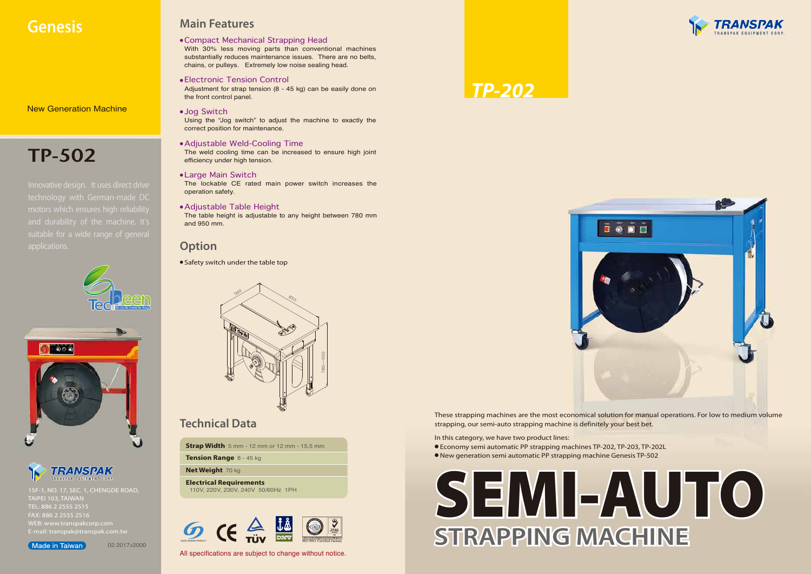

All specifications are subject to change without notice.

### *TP-202*

### **Genesis Main Features**

15F-1, NO. 17, SEC. 1, CHENGDE ROAD, TAIPEI 103, TAIWAN TEL: 886 2 2555 2515 FAX: 886 2 2555 2516 WEB: www.transpakcorp.com

#### (Made in Taiwan)

02.2017x2000



In this category, we have two product lines:

- Economy semi automatic PP strapping machines TP-202, TP-203, TP-202L
- New generation semi automatic PP strapping machine Genesis TP-502



● Safety switch under the table top

#### **Option**

New Generation Machine

● Electronic Tension Control

Adjustment for strap tension (8 - 45 kg) can be easily done on the front control panel.

● Compact Mechanical Strapping Head

With 30% less moving parts than conventional machines substantially reduces maintenance issues. There are no belts, chains, or pulleys. Extremely low noise sealing head.

● Jog Switch

Using the "Jog switch" to adjust the machine to exactly the correct position for maintenance.

● Large Main Switch

The lockable CE rated main power switch increases the operation safety.

● Adjustable Table Height

The table height is adjustable to any height between 780 mm and 950 mm.

# TP-502

Innovative design. It uses direct drive technology with German-made DC motors which ensures high reliability suitable for a wide range of general applications.





TRANSPAK

● Adjustable Weld-Cooling Time

The weld cooling time can be increased to ensure high joint efficiency under high tension.







### **Technical Data**

**Strap Width** 5 mm - 12 mm or 12 mm - 15.5 mm

**Tension Range** 8 - 45 kg

**Net Weight** 70 kg

**Electrical Requirements** 110V, 220V, 230V, 240V 50/60Hz 1PH